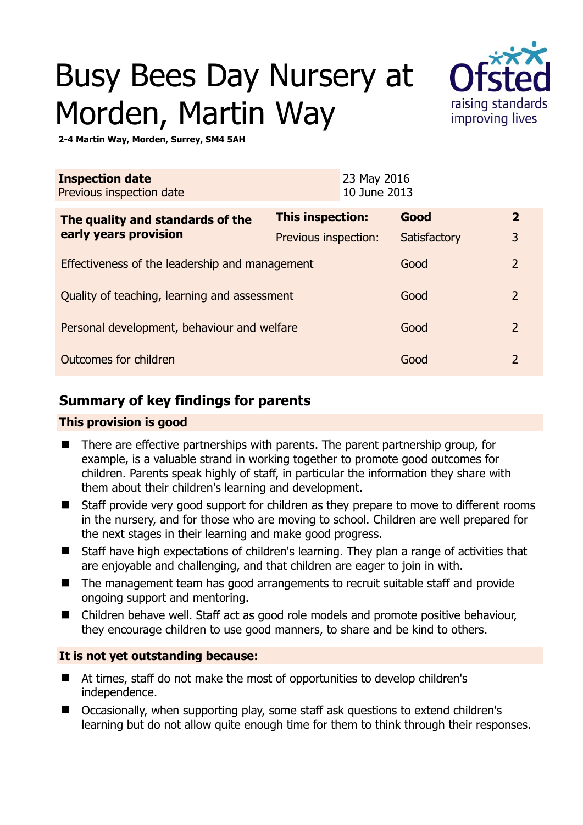# Busy Bees Day Nursery at Morden, Martin Way



**2-4 Martin Way, Morden, Surrey, SM4 5AH** 

| <b>Inspection date</b><br>Previous inspection date |                         | 23 May 2016<br>10 June 2013 |              |                |
|----------------------------------------------------|-------------------------|-----------------------------|--------------|----------------|
| The quality and standards of the                   | <b>This inspection:</b> |                             | Good         | $\overline{2}$ |
| early years provision                              | Previous inspection:    |                             | Satisfactory | 3              |
| Effectiveness of the leadership and management     |                         |                             | Good         | $\overline{2}$ |
| Quality of teaching, learning and assessment       |                         |                             | Good         | $\overline{2}$ |
| Personal development, behaviour and welfare        |                         |                             | Good         | $\overline{2}$ |
| Outcomes for children                              |                         |                             | Good         | 2              |

# **Summary of key findings for parents**

## **This provision is good**

- There are effective partnerships with parents. The parent partnership group, for example, is a valuable strand in working together to promote good outcomes for children. Parents speak highly of staff, in particular the information they share with them about their children's learning and development.
- Staff provide very good support for children as they prepare to move to different rooms in the nursery, and for those who are moving to school. Children are well prepared for the next stages in their learning and make good progress.
- Staff have high expectations of children's learning. They plan a range of activities that are enjoyable and challenging, and that children are eager to join in with.
- The management team has good arrangements to recruit suitable staff and provide ongoing support and mentoring.
- Children behave well. Staff act as good role models and promote positive behaviour, they encourage children to use good manners, to share and be kind to others.

## **It is not yet outstanding because:**

- At times, staff do not make the most of opportunities to develop children's independence.
- Occasionally, when supporting play, some staff ask questions to extend children's learning but do not allow quite enough time for them to think through their responses.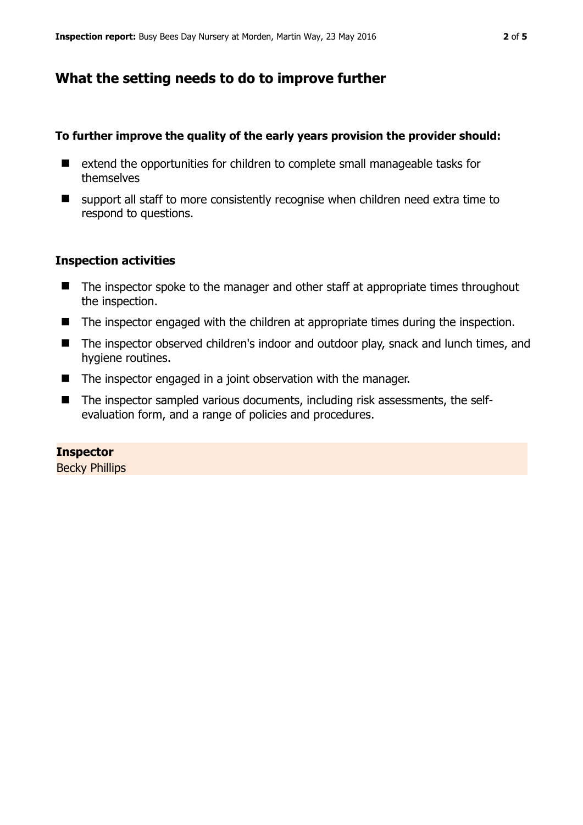## **What the setting needs to do to improve further**

#### **To further improve the quality of the early years provision the provider should:**

- extend the opportunities for children to complete small manageable tasks for themselves
- $\blacksquare$  support all staff to more consistently recognise when children need extra time to respond to questions.

#### **Inspection activities**

- The inspector spoke to the manager and other staff at appropriate times throughout the inspection.
- The inspector engaged with the children at appropriate times during the inspection.
- The inspector observed children's indoor and outdoor play, snack and lunch times, and hygiene routines.
- The inspector engaged in a joint observation with the manager.
- The inspector sampled various documents, including risk assessments, the selfevaluation form, and a range of policies and procedures.

#### **Inspector**

Becky Phillips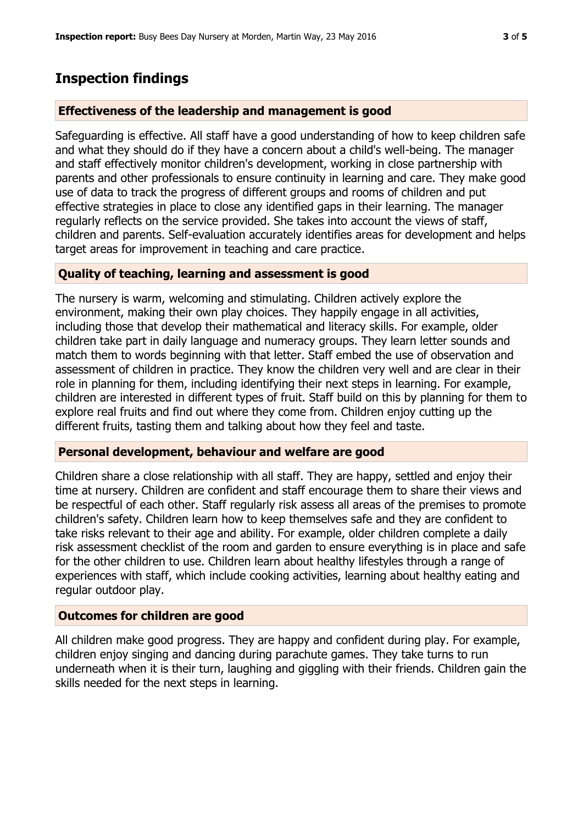## **Inspection findings**

#### **Effectiveness of the leadership and management is good**

Safeguarding is effective. All staff have a good understanding of how to keep children safe and what they should do if they have a concern about a child's well-being. The manager and staff effectively monitor children's development, working in close partnership with parents and other professionals to ensure continuity in learning and care. They make good use of data to track the progress of different groups and rooms of children and put effective strategies in place to close any identified gaps in their learning. The manager regularly reflects on the service provided. She takes into account the views of staff, children and parents. Self-evaluation accurately identifies areas for development and helps target areas for improvement in teaching and care practice.

#### **Quality of teaching, learning and assessment is good**

The nursery is warm, welcoming and stimulating. Children actively explore the environment, making their own play choices. They happily engage in all activities, including those that develop their mathematical and literacy skills. For example, older children take part in daily language and numeracy groups. They learn letter sounds and match them to words beginning with that letter. Staff embed the use of observation and assessment of children in practice. They know the children very well and are clear in their role in planning for them, including identifying their next steps in learning. For example, children are interested in different types of fruit. Staff build on this by planning for them to explore real fruits and find out where they come from. Children enjoy cutting up the different fruits, tasting them and talking about how they feel and taste.

#### **Personal development, behaviour and welfare are good**

Children share a close relationship with all staff. They are happy, settled and enjoy their time at nursery. Children are confident and staff encourage them to share their views and be respectful of each other. Staff regularly risk assess all areas of the premises to promote children's safety. Children learn how to keep themselves safe and they are confident to take risks relevant to their age and ability. For example, older children complete a daily risk assessment checklist of the room and garden to ensure everything is in place and safe for the other children to use. Children learn about healthy lifestyles through a range of experiences with staff, which include cooking activities, learning about healthy eating and regular outdoor play.

#### **Outcomes for children are good**

All children make good progress. They are happy and confident during play. For example, children enjoy singing and dancing during parachute games. They take turns to run underneath when it is their turn, laughing and giggling with their friends. Children gain the skills needed for the next steps in learning.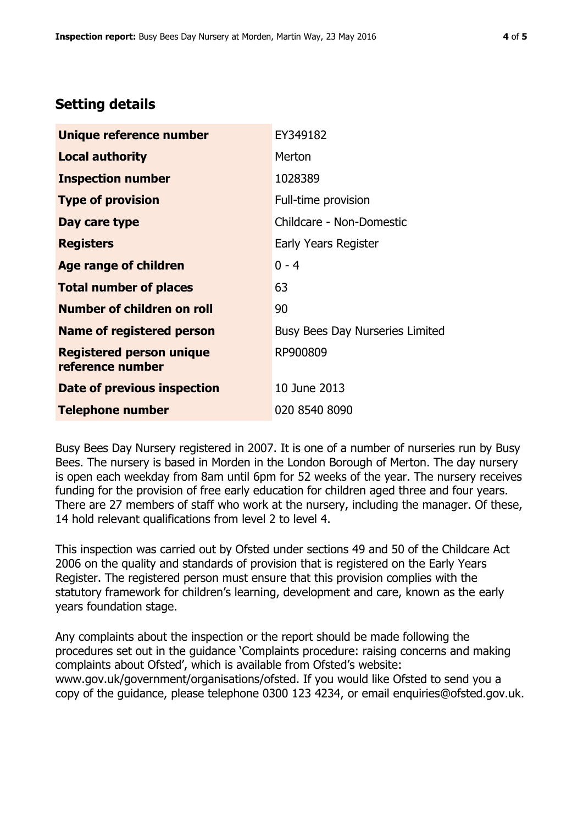## **Setting details**

| Unique reference number                             | EY349182                               |  |
|-----------------------------------------------------|----------------------------------------|--|
| <b>Local authority</b>                              | Merton                                 |  |
| <b>Inspection number</b>                            | 1028389                                |  |
| <b>Type of provision</b>                            | Full-time provision                    |  |
| Day care type                                       | Childcare - Non-Domestic               |  |
| <b>Registers</b>                                    | Early Years Register                   |  |
| <b>Age range of children</b>                        | $0 - 4$                                |  |
| <b>Total number of places</b>                       | 63                                     |  |
| <b>Number of children on roll</b>                   | 90                                     |  |
| Name of registered person                           | <b>Busy Bees Day Nurseries Limited</b> |  |
| <b>Registered person unique</b><br>reference number | RP900809                               |  |
| <b>Date of previous inspection</b>                  | 10 June 2013                           |  |
| Telephone number                                    | 020 8540 8090                          |  |

Busy Bees Day Nursery registered in 2007. It is one of a number of nurseries run by Busy Bees. The nursery is based in Morden in the London Borough of Merton. The day nursery is open each weekday from 8am until 6pm for 52 weeks of the year. The nursery receives funding for the provision of free early education for children aged three and four years. There are 27 members of staff who work at the nursery, including the manager. Of these, 14 hold relevant qualifications from level 2 to level 4.

This inspection was carried out by Ofsted under sections 49 and 50 of the Childcare Act 2006 on the quality and standards of provision that is registered on the Early Years Register. The registered person must ensure that this provision complies with the statutory framework for children's learning, development and care, known as the early years foundation stage.

Any complaints about the inspection or the report should be made following the procedures set out in the guidance 'Complaints procedure: raising concerns and making complaints about Ofsted', which is available from Ofsted's website: www.gov.uk/government/organisations/ofsted. If you would like Ofsted to send you a copy of the guidance, please telephone 0300 123 4234, or email enquiries@ofsted.gov.uk.